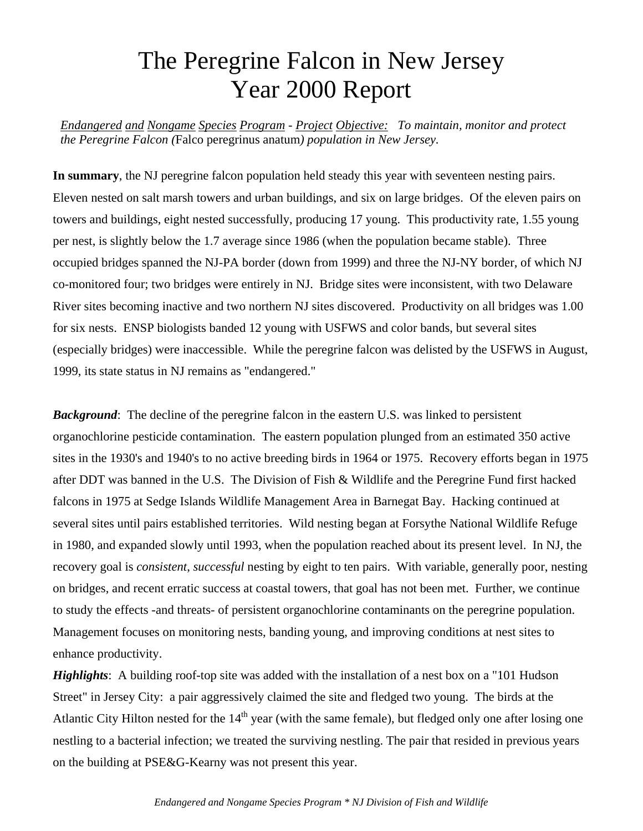## The Peregrine Falcon in New Jersey Year 2000 Report

*Endangered and Nongame Species Program - Project Objective: To maintain, monitor and protect the Peregrine Falcon (*Falco peregrinus anatum*) population in New Jersey.*

**In summary**, the NJ peregrine falcon population held steady this year with seventeen nesting pairs. Eleven nested on salt marsh towers and urban buildings, and six on large bridges. Of the eleven pairs on towers and buildings, eight nested successfully, producing 17 young. This productivity rate, 1.55 young per nest, is slightly below the 1.7 average since 1986 (when the population became stable). Three occupied bridges spanned the NJ-PA border (down from 1999) and three the NJ-NY border, of which NJ co-monitored four; two bridges were entirely in NJ. Bridge sites were inconsistent, with two Delaware River sites becoming inactive and two northern NJ sites discovered. Productivity on all bridges was 1.00 for six nests. ENSP biologists banded 12 young with USFWS and color bands, but several sites (especially bridges) were inaccessible. While the peregrine falcon was delisted by the USFWS in August, 1999, its state status in NJ remains as "endangered."

**Background:** The decline of the peregrine falcon in the eastern U.S. was linked to persistent organochlorine pesticide contamination. The eastern population plunged from an estimated 350 active sites in the 1930's and 1940's to no active breeding birds in 1964 or 1975. Recovery efforts began in 1975 after DDT was banned in the U.S. The Division of Fish & Wildlife and the Peregrine Fund first hacked falcons in 1975 at Sedge Islands Wildlife Management Area in Barnegat Bay. Hacking continued at several sites until pairs established territories. Wild nesting began at Forsythe National Wildlife Refuge in 1980, and expanded slowly until 1993, when the population reached about its present level. In NJ, the recovery goal is *consistent*, *successful* nesting by eight to ten pairs. With variable, generally poor, nesting on bridges, and recent erratic success at coastal towers, that goal has not been met. Further, we continue to study the effects -and threats- of persistent organochlorine contaminants on the peregrine population. Management focuses on monitoring nests, banding young, and improving conditions at nest sites to enhance productivity.

*Highlights*: A building roof-top site was added with the installation of a nest box on a "101 Hudson" Street" in Jersey City: a pair aggressively claimed the site and fledged two young. The birds at the Atlantic City Hilton nested for the  $14<sup>th</sup>$  year (with the same female), but fledged only one after losing one nestling to a bacterial infection; we treated the surviving nestling. The pair that resided in previous years on the building at PSE&G-Kearny was not present this year.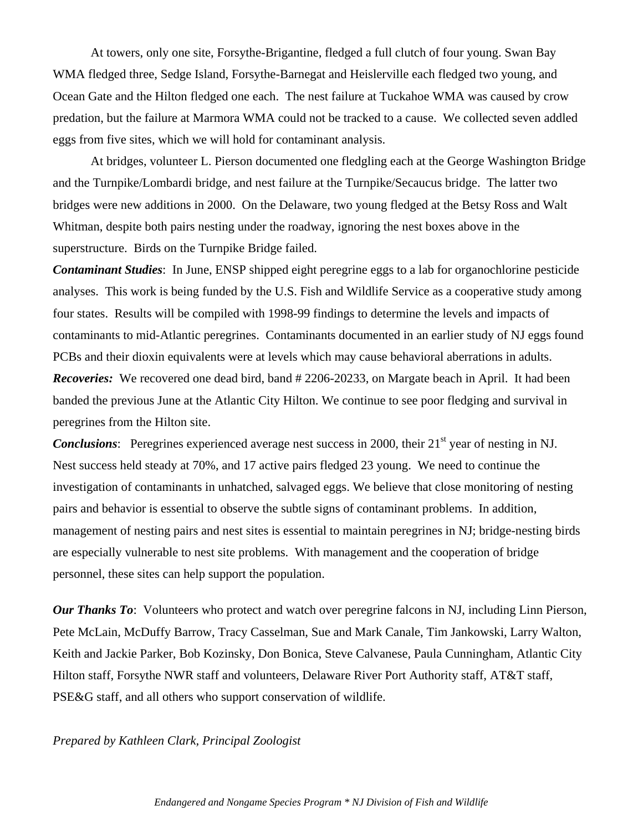At towers, only one site, Forsythe-Brigantine, fledged a full clutch of four young. Swan Bay WMA fledged three, Sedge Island, Forsythe-Barnegat and Heislerville each fledged two young, and Ocean Gate and the Hilton fledged one each. The nest failure at Tuckahoe WMA was caused by crow predation, but the failure at Marmora WMA could not be tracked to a cause. We collected seven addled eggs from five sites, which we will hold for contaminant analysis.

At bridges, volunteer L. Pierson documented one fledgling each at the George Washington Bridge and the Turnpike/Lombardi bridge, and nest failure at the Turnpike/Secaucus bridge. The latter two bridges were new additions in 2000. On the Delaware, two young fledged at the Betsy Ross and Walt Whitman, despite both pairs nesting under the roadway, ignoring the nest boxes above in the superstructure. Birds on the Turnpike Bridge failed.

*Contaminant Studies*: In June, ENSP shipped eight peregrine eggs to a lab for organochlorine pesticide analyses. This work is being funded by the U.S. Fish and Wildlife Service as a cooperative study among four states. Results will be compiled with 1998-99 findings to determine the levels and impacts of contaminants to mid-Atlantic peregrines. Contaminants documented in an earlier study of NJ eggs found PCBs and their dioxin equivalents were at levels which may cause behavioral aberrations in adults. *Recoveries:* We recovered one dead bird, band # 2206-20233, on Margate beach in April. It had been banded the previous June at the Atlantic City Hilton. We continue to see poor fledging and survival in peregrines from the Hilton site.

**Conclusions:** Peregrines experienced average nest success in 2000, their 21<sup>st</sup> year of nesting in NJ. Nest success held steady at 70%, and 17 active pairs fledged 23 young. We need to continue the investigation of contaminants in unhatched, salvaged eggs. We believe that close monitoring of nesting pairs and behavior is essential to observe the subtle signs of contaminant problems. In addition, management of nesting pairs and nest sites is essential to maintain peregrines in NJ; bridge-nesting birds are especially vulnerable to nest site problems. With management and the cooperation of bridge personnel, these sites can help support the population.

*Our Thanks To*: Volunteers who protect and watch over peregrine falcons in NJ, including Linn Pierson, Pete McLain, McDuffy Barrow, Tracy Casselman, Sue and Mark Canale, Tim Jankowski, Larry Walton, Keith and Jackie Parker, Bob Kozinsky, Don Bonica, Steve Calvanese, Paula Cunningham, Atlantic City Hilton staff, Forsythe NWR staff and volunteers, Delaware River Port Authority staff, AT&T staff, PSE&G staff, and all others who support conservation of wildlife.

*Prepared by Kathleen Clark, Principal Zoologist*